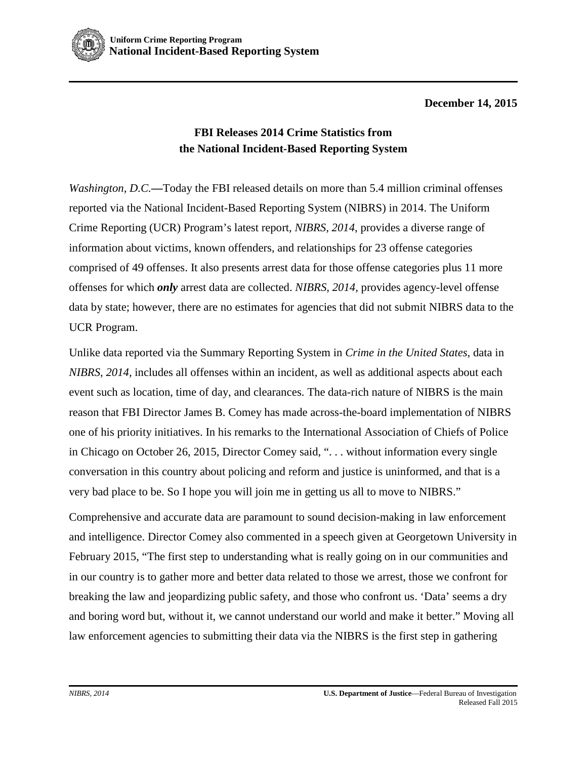

**December 14, 2015**

## **FBI Releases 2014 Crime Statistics from the National Incident-Based Reporting System**

*Washington, D.C.*—Today the FBI released details on more than 5.4 million criminal offenses reported via the National Incident-Based Reporting System (NIBRS) in 2014. The Uniform Crime Reporting (UCR) Program's latest report, *NIBRS, 2014*, provides a diverse range of information about victims, known offenders, and relationships for 23 offense categories comprised of 49 offenses. It also presents arrest data for those offense categories plus 11 more offenses for which *only* arrest data are collected. *NIBRS, 2014,* provides agency-level offense data by state; however, there are no estimates for agencies that did not submit NIBRS data to the UCR Program.

Unlike data reported via the Summary Reporting System in *Crime in the United States*, data in *NIBRS, 2014,* includes all offenses within an incident, as well as additional aspects about each event such as location, time of day, and clearances. The data-rich nature of NIBRS is the main reason that FBI Director James B. Comey has made across-the-board implementation of NIBRS one of his priority initiatives. In his [remarks to the International Association of Chiefs of Police](https://www.fbi.gov/news/speeches/keeping-our-communities-safe-through-shared-perspectives-information-and-understanding) in Chicago on October 26, 2015, Director Comey said, ". . . without information every single conversation in this country about policing and reform and justice is uninformed, and that is a very bad place to be. So I hope you will join me in getting us all to move to NIBRS."

Comprehensive and accurate data are paramount to sound decision-making in law enforcement and intelligence. Director Comey also commented in a speech given at Georgetown University in February 2015, "The first step to understanding what is really going on in our communities and in our country is to gather more and better data related to those we arrest, those we confront for breaking the law and jeopardizing public safety, and those who confront us. 'Data' seems a dry and boring word but, without it, we cannot understand our world and make it better." Moving all law enforcement agencies to submitting their data via the NIBRS is the first step in gathering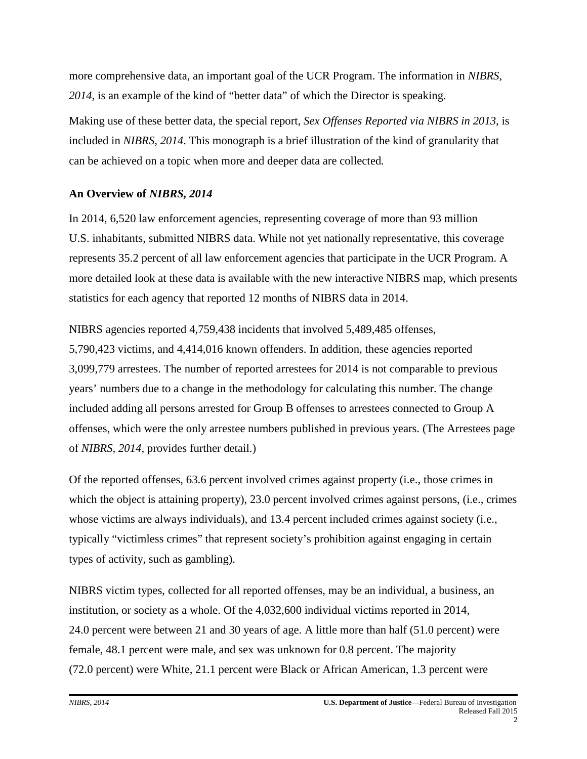more comprehensive data, an important goal of the UCR Program. The information in *NIBRS, 2014,* is an example of the kind of "better data" of which the Director is speaking.

Making use of these better data, the special report, *Sex Offenses Reported via NIBRS in 2013*, is included in *NIBRS, 2014*. This monograph is a brief illustration of the kind of granularity that can be achieved on a topic when more and deeper data are collected*.*

## **An Overview of** *NIBRS, 2014*

In 2014, 6,520 law enforcement agencies, representing coverage of more than 93 million U.S. inhabitants, submitted NIBRS data. While not yet nationally representative, this coverage represents 35.2 percent of all law enforcement agencies that participate in the UCR Program. A more detailed look at these data is available with the new interactive NIBRS map, which presents statistics for each agency that reported 12 months of NIBRS data in 2014.

NIBRS agencies reported 4,759,438 incidents that involved 5,489,485 offenses, 5,790,423 victims, and 4,414,016 known offenders. In addition, these agencies reported 3,099,779 arrestees. The number of reported arrestees for 2014 is not comparable to previous years' numbers due to a change in the methodology for calculating this number. The change included adding all persons arrested for Group B offenses to arrestees connected to Group A offenses, which were the only arrestee numbers published in previous years. (The Arrestees page of *NIBRS, 2014,* provides further detail.)

Of the reported offenses, 63.6 percent involved crimes against property (i.e., those crimes in which the object is attaining property), 23.0 percent involved crimes against persons, (i.e., crimes whose victims are always individuals), and 13.4 percent included crimes against society (i.e., typically "victimless crimes" that represent society's prohibition against engaging in certain types of activity, such as gambling).

NIBRS victim types, collected for all reported offenses, may be an individual, a business, an institution, or society as a whole. Of the 4,032,600 individual victims reported in 2014, 24.0 percent were between 21 and 30 years of age. A little more than half (51.0 percent) were female, 48.1 percent were male, and sex was unknown for 0.8 percent. The majority (72.0 percent) were White, 21.1 percent were Black or African American, 1.3 percent were